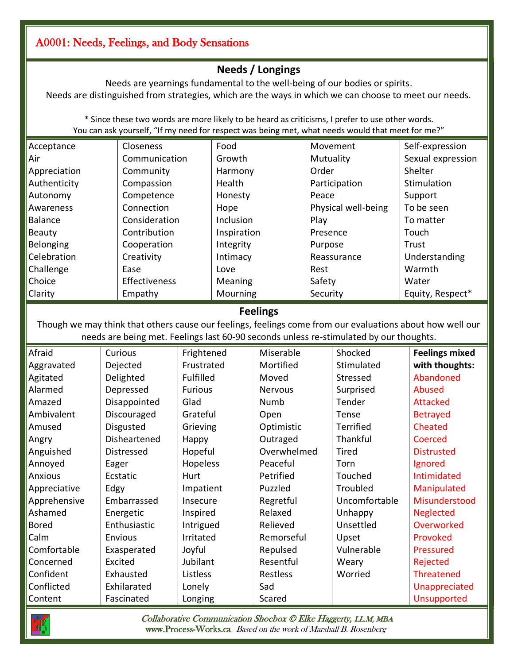## A0001: Needs, Feelings, and Body Sensations

## **Needs / Longings**

Needs are yearnings fundamental to the well-being of our bodies or spirits. Needs are distinguished from strategies, which are the ways in which we can choose to meet our needs.

\* Since these two words are more likely to be heard as criticisms, I prefer to use other words. You can ask yourself, "If my need for respect was being met, what needs would that meet for me?"

| Acceptance<br>Closeness                                                                                   |                           | Food           |            |                 |             | Movement            |           | Self-expression       |  |  |  |
|-----------------------------------------------------------------------------------------------------------|---------------------------|----------------|------------|-----------------|-------------|---------------------|-----------|-----------------------|--|--|--|
| Communication<br>Air                                                                                      |                           | Growth         |            | Mutuality       |             |                     |           | Sexual expression     |  |  |  |
| Community<br>Appreciation                                                                                 |                           | Harmony        |            | Order           |             |                     |           | Shelter               |  |  |  |
| Authenticity<br>Compassion                                                                                |                           | Health         |            |                 |             | Participation       |           | Stimulation           |  |  |  |
| Autonomy<br>Competence                                                                                    |                           | Honesty        |            |                 | Peace       |                     | Support   |                       |  |  |  |
| Connection<br>Awareness                                                                                   |                           | Hope           |            |                 |             | Physical well-being |           | To be seen            |  |  |  |
| Consideration<br><b>Balance</b>                                                                           |                           | Inclusion      |            |                 | Play        |                     | To matter |                       |  |  |  |
| Contribution<br>Beauty                                                                                    |                           | Inspiration    |            |                 | Presence    |                     |           | Touch                 |  |  |  |
| Belonging<br>Cooperation                                                                                  |                           | Integrity      |            |                 | Purpose     |                     |           | Trust                 |  |  |  |
| Celebration<br>Creativity                                                                                 |                           | Intimacy       |            |                 | Reassurance |                     |           | Understanding         |  |  |  |
| Challenge                                                                                                 | Ease                      | Love           |            |                 | Rest        |                     |           | Warmth                |  |  |  |
| Choice<br>Effectiveness                                                                                   |                           | Meaning        |            |                 | Safety      |                     | Water     |                       |  |  |  |
| Clarity                                                                                                   | Empathy                   |                | Mourning   |                 | Security    |                     |           | Equity, Respect*      |  |  |  |
|                                                                                                           |                           |                |            | <b>Feelings</b> |             |                     |           |                       |  |  |  |
| Though we may think that others cause our feelings, feelings come from our evaluations about how well our |                           |                |            |                 |             |                     |           |                       |  |  |  |
| needs are being met. Feelings last 60-90 seconds unless re-stimulated by our thoughts.                    |                           |                |            |                 |             |                     |           |                       |  |  |  |
| Afraid                                                                                                    | Curious                   | Frightened     |            | Miserable       |             | Shocked             |           | <b>Feelings mixed</b> |  |  |  |
| Aggravated                                                                                                | Dejected                  | Frustrated     |            | Mortified       |             | Stimulated          |           | with thoughts:        |  |  |  |
| Agitated                                                                                                  | Delighted                 | Fulfilled      |            | Moved           |             | Stressed            |           | Abandoned             |  |  |  |
| Alarmed                                                                                                   | Depressed                 | <b>Furious</b> |            | <b>Nervous</b>  |             | Surprised           |           | Abused                |  |  |  |
| Amazed                                                                                                    | Disappointed<br>Glad      |                | Numb       |                 |             | Tender              |           | Attacked              |  |  |  |
| Ambivalent                                                                                                | Grateful<br>Discouraged   |                |            | Open            |             | Tense               |           | <b>Betrayed</b>       |  |  |  |
| Amused                                                                                                    | Disgusted<br>Grieving     |                |            | Optimistic      |             | Terrified           |           | Cheated               |  |  |  |
| Angry                                                                                                     | Disheartened<br>Happy     |                | Outraged   |                 |             | Thankful            |           | Coerced               |  |  |  |
| Anguished                                                                                                 | Distressed                | Hopeful        |            | Overwhelmed     |             | <b>Tired</b>        |           | <b>Distrusted</b>     |  |  |  |
| Annoyed                                                                                                   | Eager                     | Hopeless       |            | Peaceful        |             | Torn                |           | Ignored               |  |  |  |
| <b>Anxious</b>                                                                                            | Ecstatic                  | Hurt           |            | Petrified       |             | Touched             |           | Intimidated           |  |  |  |
| Appreciative                                                                                              | Edgy                      | Impatient      |            | Puzzled         |             | Troubled            |           | Manipulated           |  |  |  |
| Apprehensive                                                                                              | Embarrassed               | Insecure       |            | Regretful       |             | Uncomfortable       |           | Misunderstood         |  |  |  |
| Ashamed                                                                                                   | Energetic                 | Inspired       |            | Relaxed         |             | Unhappy             |           | <b>Neglected</b>      |  |  |  |
| <b>Bored</b>                                                                                              | Enthusiastic<br>Intrigued |                | Relieved   |                 | Unsettled   |                     |           | <b>Overworked</b>     |  |  |  |
| Calm                                                                                                      | Envious<br>Irritated      |                | Remorseful |                 | Upset       |                     |           | Provoked              |  |  |  |
| Comfortable                                                                                               | Exasperated<br>Joyful     |                | Repulsed   |                 | Vulnerable  |                     |           | <b>Pressured</b>      |  |  |  |
| Concerned                                                                                                 | Excited<br>Jubilant       |                | Resentful  |                 |             | Weary               |           | Rejected              |  |  |  |



Confident Conflicted

Exhausted Exhilarated Fascinated

Listless Lonely Longing

 Collaborative Communication Shoebox © Elke Haggerty, LL.M, MBA [www.Process-Works.ca](https://www.process-works.ca/) Based on the work of Marshall B. Rosenberg

Restless Sad Scared

Worried

**Threatened** Unappreciated Unsupported